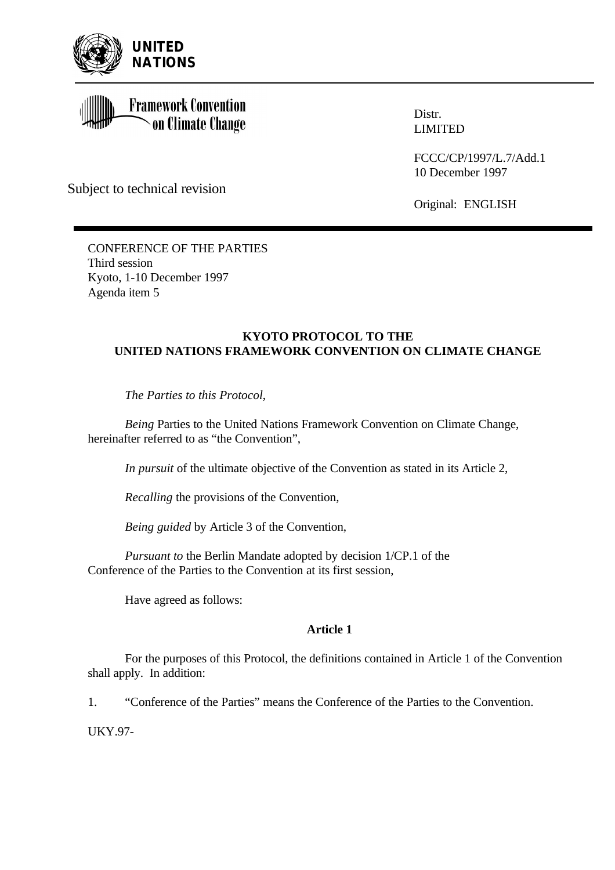

**Framework Convention** on Climate Change

**Distr** LIMITED

FCCC/CP/1997/L.7/Add.1 10 December 1997

Subject to technical revision

Original: ENGLISH

CONFERENCE OF THE PARTIES Third session Kyoto, 1-10 December 1997 Agenda item 5

## **KYOTO PROTOCOL TO THE UNITED NATIONS FRAMEWORK CONVENTION ON CLIMATE CHANGE**

*The Parties to this Protocol*,

*Being* Parties to the United Nations Framework Convention on Climate Change, hereinafter referred to as "the Convention",

*In pursuit* of the ultimate objective of the Convention as stated in its Article 2,

*Recalling* the provisions of the Convention,

*Being guided* by Article 3 of the Convention,

*Pursuant to* the Berlin Mandate adopted by decision 1/CP.1 of the Conference of the Parties to the Convention at its first session,

Have agreed as follows:

#### **Article 1**

For the purposes of this Protocol, the definitions contained in Article 1 of the Convention shall apply. In addition:

1. "Conference of the Parties" means the Conference of the Parties to the Convention.

UKY.97-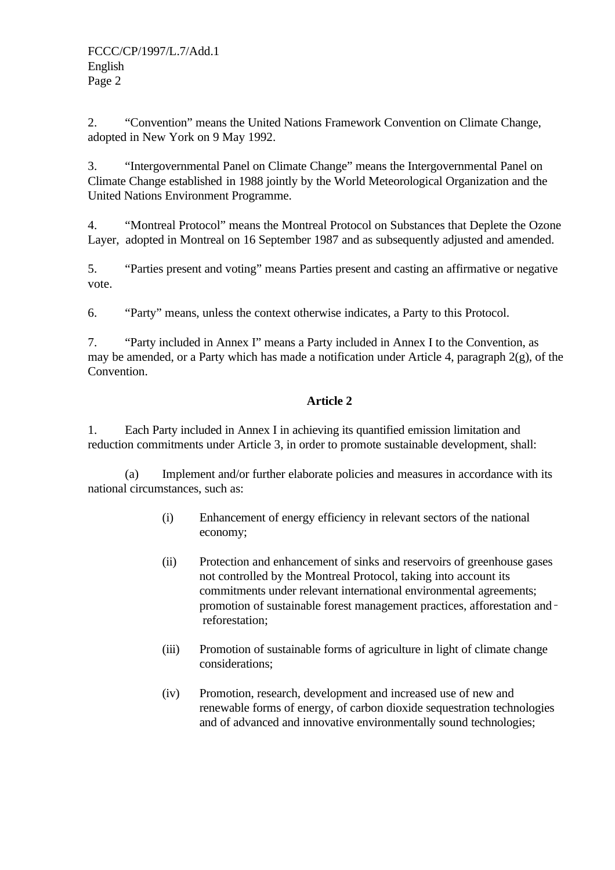2. "Convention" means the United Nations Framework Convention on Climate Change, adopted in New York on 9 May 1992.

3. "Intergovernmental Panel on Climate Change" means the Intergovernmental Panel on Climate Change established in 1988 jointly by the World Meteorological Organization and the United Nations Environment Programme.

4. "Montreal Protocol" means the Montreal Protocol on Substances that Deplete the Ozone Layer, adopted in Montreal on 16 September 1987 and as subsequently adjusted and amended.

5. "Parties present and voting" means Parties present and casting an affirmative or negative vote.

6. "Party" means, unless the context otherwise indicates, a Party to this Protocol.

7. "Party included in Annex I" means a Party included in Annex I to the Convention, as may be amended, or a Party which has made a notification under Article 4, paragraph  $2(g)$ , of the Convention.

# **Article 2**

1. Each Party included in Annex I in achieving its quantified emission limitation and reduction commitments under Article 3, in order to promote sustainable development, shall:

(a) Implement and/or further elaborate policies and measures in accordance with its national circumstances, such as:

- (i) Enhancement of energy efficiency in relevant sectors of the national economy;
- (ii) Protection and enhancement of sinks and reservoirs of greenhouse gases not controlled by the Montreal Protocol, taking into account its commitments under relevant international environmental agreements; promotion of sustainable forest management practices, afforestation and reforestation;
- (iii) Promotion of sustainable forms of agriculture in light of climate change considerations;
- (iv) Promotion, research, development and increased use of new and renewable forms of energy, of carbon dioxide sequestration technologies and of advanced and innovative environmentally sound technologies;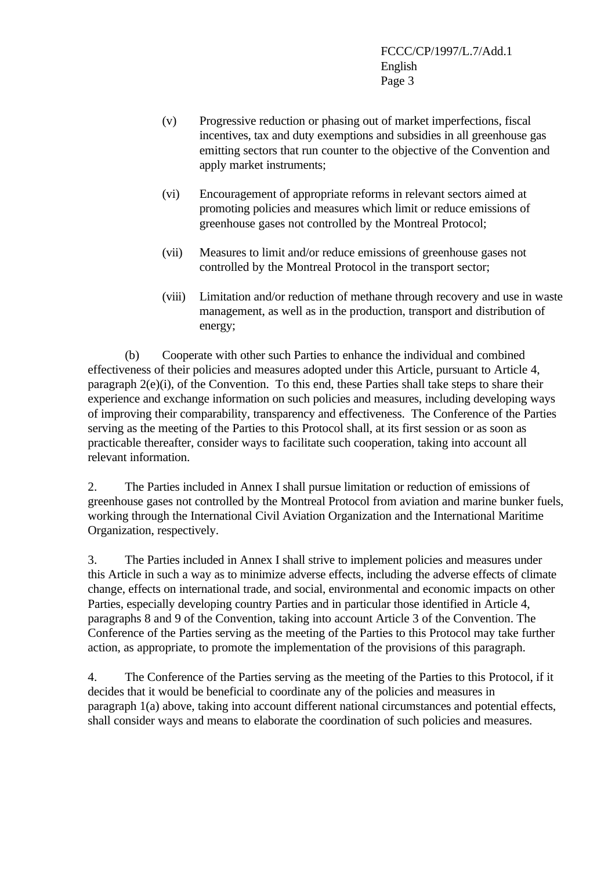- (v) Progressive reduction or phasing out of market imperfections, fiscal incentives, tax and duty exemptions and subsidies in all greenhouse gas emitting sectors that run counter to the objective of the Convention and apply market instruments;
- (vi) Encouragement of appropriate reforms in relevant sectors aimed at promoting policies and measures which limit or reduce emissions of greenhouse gases not controlled by the Montreal Protocol;
- (vii) Measures to limit and/or reduce emissions of greenhouse gases not controlled by the Montreal Protocol in the transport sector;
- (viii) Limitation and/or reduction of methane through recovery and use in waste management, as well as in the production, transport and distribution of energy;

(b) Cooperate with other such Parties to enhance the individual and combined effectiveness of their policies and measures adopted under this Article, pursuant to Article 4, paragraph  $2(e)(i)$ , of the Convention. To this end, these Parties shall take steps to share their experience and exchange information on such policies and measures, including developing ways of improving their comparability, transparency and effectiveness. The Conference of the Parties serving as the meeting of the Parties to this Protocol shall, at its first session or as soon as practicable thereafter, consider ways to facilitate such cooperation, taking into account all relevant information.

2. The Parties included in Annex I shall pursue limitation or reduction of emissions of greenhouse gases not controlled by the Montreal Protocol from aviation and marine bunker fuels, working through the International Civil Aviation Organization and the International Maritime Organization, respectively.

3. The Parties included in Annex I shall strive to implement policies and measures under this Article in such a way as to minimize adverse effects, including the adverse effects of climate change, effects on international trade, and social, environmental and economic impacts on other Parties, especially developing country Parties and in particular those identified in Article 4, paragraphs 8 and 9 of the Convention, taking into account Article 3 of the Convention. The Conference of the Parties serving as the meeting of the Parties to this Protocol may take further action, as appropriate, to promote the implementation of the provisions of this paragraph.

4. The Conference of the Parties serving as the meeting of the Parties to this Protocol, if it decides that it would be beneficial to coordinate any of the policies and measures in paragraph 1(a) above, taking into account different national circumstances and potential effects, shall consider ways and means to elaborate the coordination of such policies and measures.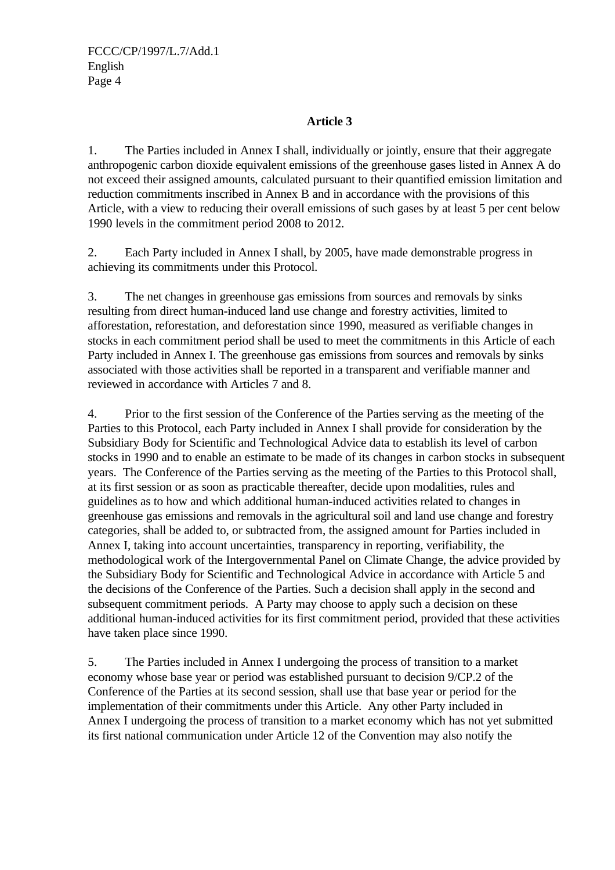# **Article 3**

1. The Parties included in Annex I shall, individually or jointly, ensure that their aggregate anthropogenic carbon dioxide equivalent emissions of the greenhouse gases listed in Annex A do not exceed their assigned amounts, calculated pursuant to their quantified emission limitation and reduction commitments inscribed in Annex B and in accordance with the provisions of this Article, with a view to reducing their overall emissions of such gases by at least 5 per cent below 1990 levels in the commitment period 2008 to 2012.

2. Each Party included in Annex I shall, by 2005, have made demonstrable progress in achieving its commitments under this Protocol.

3. The net changes in greenhouse gas emissions from sources and removals by sinks resulting from direct human-induced land use change and forestry activities, limited to afforestation, reforestation, and deforestation since 1990, measured as verifiable changes in stocks in each commitment period shall be used to meet the commitments in this Article of each Party included in Annex I. The greenhouse gas emissions from sources and removals by sinks associated with those activities shall be reported in a transparent and verifiable manner and reviewed in accordance with Articles 7 and 8.

4. Prior to the first session of the Conference of the Parties serving as the meeting of the Parties to this Protocol, each Party included in Annex I shall provide for consideration by the Subsidiary Body for Scientific and Technological Advice data to establish its level of carbon stocks in 1990 and to enable an estimate to be made of its changes in carbon stocks in subsequent years. The Conference of the Parties serving as the meeting of the Parties to this Protocol shall, at its first session or as soon as practicable thereafter, decide upon modalities, rules and guidelines as to how and which additional human-induced activities related to changes in greenhouse gas emissions and removals in the agricultural soil and land use change and forestry categories, shall be added to, or subtracted from, the assigned amount for Parties included in Annex I, taking into account uncertainties, transparency in reporting, verifiability, the methodological work of the Intergovernmental Panel on Climate Change, the advice provided by the Subsidiary Body for Scientific and Technological Advice in accordance with Article 5 and the decisions of the Conference of the Parties. Such a decision shall apply in the second and subsequent commitment periods. A Party may choose to apply such a decision on these additional human-induced activities for its first commitment period, provided that these activities have taken place since 1990.

5. The Parties included in Annex I undergoing the process of transition to a market economy whose base year or period was established pursuant to decision 9/CP.2 of the Conference of the Parties at its second session, shall use that base year or period for the implementation of their commitments under this Article. Any other Party included in Annex I undergoing the process of transition to a market economy which has not yet submitted its first national communication under Article 12 of the Convention may also notify the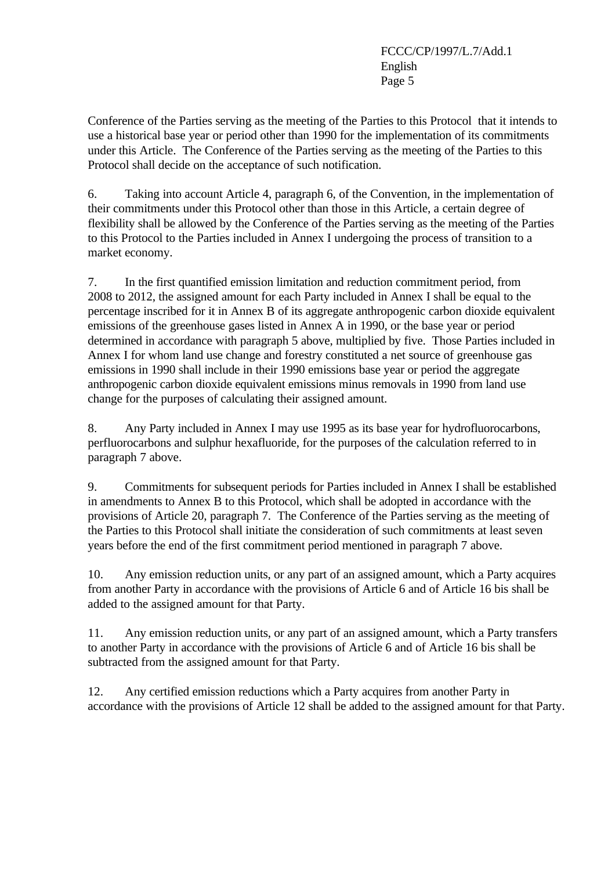Conference of the Parties serving as the meeting of the Parties to this Protocol that it intends to use a historical base year or period other than 1990 for the implementation of its commitments under this Article. The Conference of the Parties serving as the meeting of the Parties to this Protocol shall decide on the acceptance of such notification.

6. Taking into account Article 4, paragraph 6, of the Convention, in the implementation of their commitments under this Protocol other than those in this Article, a certain degree of flexibility shall be allowed by the Conference of the Parties serving as the meeting of the Parties to this Protocol to the Parties included in Annex I undergoing the process of transition to a market economy.

7. In the first quantified emission limitation and reduction commitment period, from 2008 to 2012, the assigned amount for each Party included in Annex I shall be equal to the percentage inscribed for it in Annex B of its aggregate anthropogenic carbon dioxide equivalent emissions of the greenhouse gases listed in Annex A in 1990, or the base year or period determined in accordance with paragraph 5 above, multiplied by five. Those Parties included in Annex I for whom land use change and forestry constituted a net source of greenhouse gas emissions in 1990 shall include in their 1990 emissions base year or period the aggregate anthropogenic carbon dioxide equivalent emissions minus removals in 1990 from land use change for the purposes of calculating their assigned amount.

8. Any Party included in Annex I may use 1995 as its base year for hydrofluorocarbons, perfluorocarbons and sulphur hexafluoride, for the purposes of the calculation referred to in paragraph 7 above.

9. Commitments for subsequent periods for Parties included in Annex I shall be established in amendments to Annex B to this Protocol, which shall be adopted in accordance with the provisions of Article 20, paragraph 7. The Conference of the Parties serving as the meeting of the Parties to this Protocol shall initiate the consideration of such commitments at least seven years before the end of the first commitment period mentioned in paragraph 7 above.

10. Any emission reduction units, or any part of an assigned amount, which a Party acquires from another Party in accordance with the provisions of Article 6 and of Article 16 bis shall be added to the assigned amount for that Party.

11. Any emission reduction units, or any part of an assigned amount, which a Party transfers to another Party in accordance with the provisions of Article 6 and of Article 16 bis shall be subtracted from the assigned amount for that Party.

12. Any certified emission reductions which a Party acquires from another Party in accordance with the provisions of Article 12 shall be added to the assigned amount for that Party.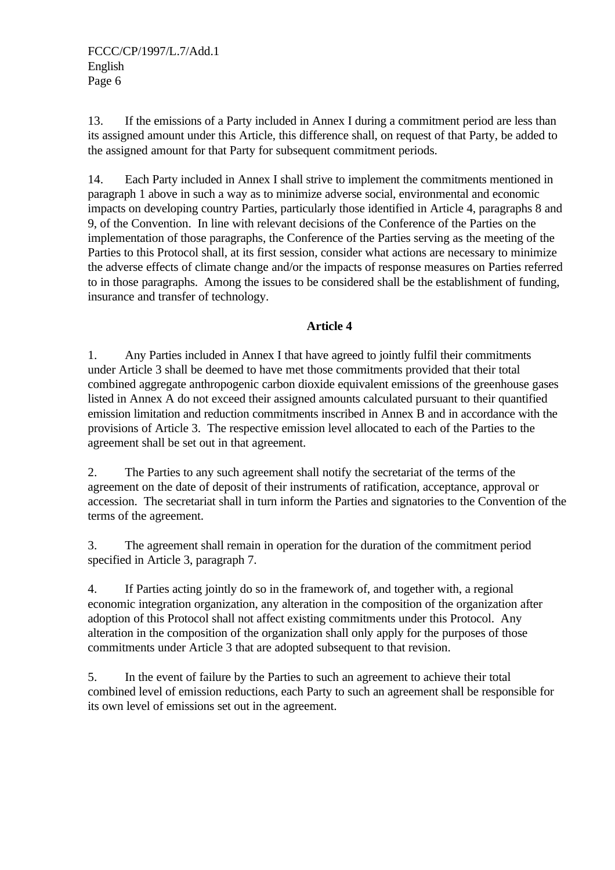13. If the emissions of a Party included in Annex I during a commitment period are less than its assigned amount under this Article, this difference shall, on request of that Party, be added to the assigned amount for that Party for subsequent commitment periods.

14. Each Party included in Annex I shall strive to implement the commitments mentioned in paragraph 1 above in such a way as to minimize adverse social, environmental and economic impacts on developing country Parties, particularly those identified in Article 4, paragraphs 8 and 9, of the Convention. In line with relevant decisions of the Conference of the Parties on the implementation of those paragraphs, the Conference of the Parties serving as the meeting of the Parties to this Protocol shall, at its first session, consider what actions are necessary to minimize the adverse effects of climate change and/or the impacts of response measures on Parties referred to in those paragraphs. Among the issues to be considered shall be the establishment of funding, insurance and transfer of technology.

## **Article 4**

1. Any Parties included in Annex I that have agreed to jointly fulfil their commitments under Article 3 shall be deemed to have met those commitments provided that their total combined aggregate anthropogenic carbon dioxide equivalent emissions of the greenhouse gases listed in Annex A do not exceed their assigned amounts calculated pursuant to their quantified emission limitation and reduction commitments inscribed in Annex B and in accordance with the provisions of Article 3. The respective emission level allocated to each of the Parties to the agreement shall be set out in that agreement.

2. The Parties to any such agreement shall notify the secretariat of the terms of the agreement on the date of deposit of their instruments of ratification, acceptance, approval or accession. The secretariat shall in turn inform the Parties and signatories to the Convention of the terms of the agreement.

3. The agreement shall remain in operation for the duration of the commitment period specified in Article 3, paragraph 7.

4. If Parties acting jointly do so in the framework of, and together with, a regional economic integration organization, any alteration in the composition of the organization after adoption of this Protocol shall not affect existing commitments under this Protocol. Any alteration in the composition of the organization shall only apply for the purposes of those commitments under Article 3 that are adopted subsequent to that revision.

5. In the event of failure by the Parties to such an agreement to achieve their total combined level of emission reductions, each Party to such an agreement shall be responsible for its own level of emissions set out in the agreement.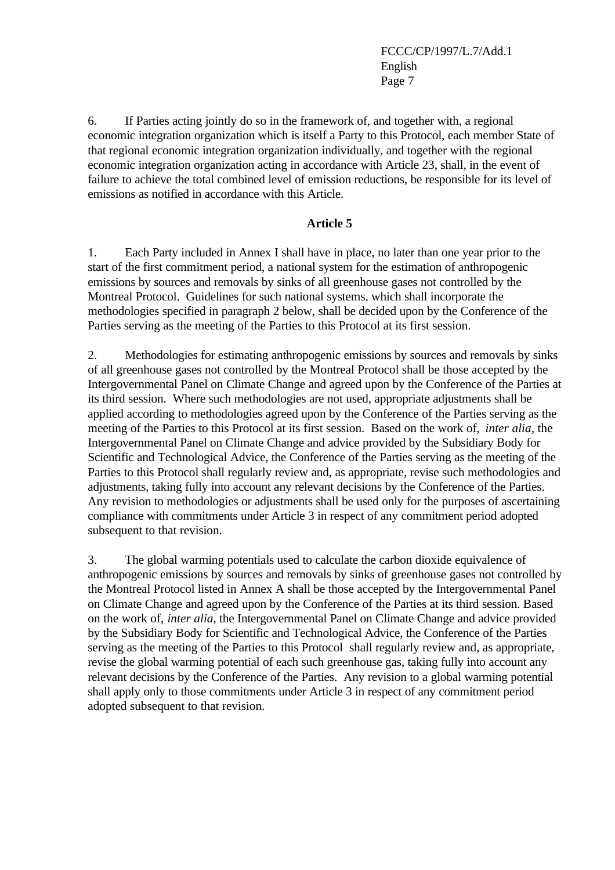6. If Parties acting jointly do so in the framework of, and together with, a regional economic integration organization which is itself a Party to this Protocol, each member State of that regional economic integration organization individually, and together with the regional economic integration organization acting in accordance with Article 23, shall, in the event of failure to achieve the total combined level of emission reductions, be responsible for its level of emissions as notified in accordance with this Article.

#### **Article 5**

1. Each Party included in Annex I shall have in place, no later than one year prior to the start of the first commitment period, a national system for the estimation of anthropogenic emissions by sources and removals by sinks of all greenhouse gases not controlled by the Montreal Protocol. Guidelines for such national systems, which shall incorporate the methodologies specified in paragraph 2 below, shall be decided upon by the Conference of the Parties serving as the meeting of the Parties to this Protocol at its first session.

2. Methodologies for estimating anthropogenic emissions by sources and removals by sinks of all greenhouse gases not controlled by the Montreal Protocol shall be those accepted by the Intergovernmental Panel on Climate Change and agreed upon by the Conference of the Parties at its third session. Where such methodologies are not used, appropriate adjustments shall be applied according to methodologies agreed upon by the Conference of the Parties serving as the meeting of the Parties to this Protocol at its first session. Based on the work of, *inter alia*, the Intergovernmental Panel on Climate Change and advice provided by the Subsidiary Body for Scientific and Technological Advice, the Conference of the Parties serving as the meeting of the Parties to this Protocol shall regularly review and, as appropriate, revise such methodologies and adjustments, taking fully into account any relevant decisions by the Conference of the Parties. Any revision to methodologies or adjustments shall be used only for the purposes of ascertaining compliance with commitments under Article 3 in respect of any commitment period adopted subsequent to that revision.

3. The global warming potentials used to calculate the carbon dioxide equivalence of anthropogenic emissions by sources and removals by sinks of greenhouse gases not controlled by the Montreal Protocol listed in Annex A shall be those accepted by the Intergovernmental Panel on Climate Change and agreed upon by the Conference of the Parties at its third session. Based on the work of, *inter alia*, the Intergovernmental Panel on Climate Change and advice provided by the Subsidiary Body for Scientific and Technological Advice, the Conference of the Parties serving as the meeting of the Parties to this Protocol shall regularly review and, as appropriate, revise the global warming potential of each such greenhouse gas, taking fully into account any relevant decisions by the Conference of the Parties. Any revision to a global warming potential shall apply only to those commitments under Article 3 in respect of any commitment period adopted subsequent to that revision.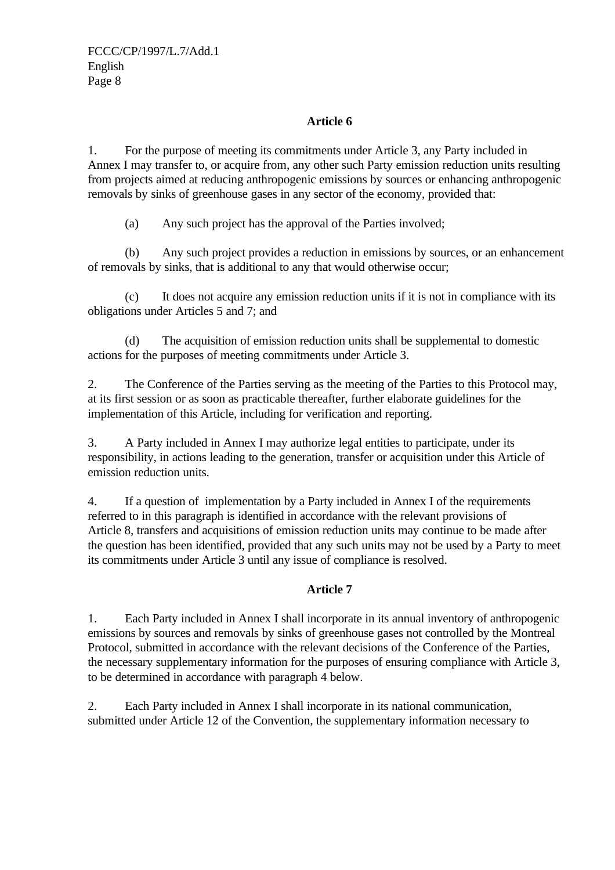## **Article 6**

1. For the purpose of meeting its commitments under Article 3, any Party included in Annex I may transfer to, or acquire from, any other such Party emission reduction units resulting from projects aimed at reducing anthropogenic emissions by sources or enhancing anthropogenic removals by sinks of greenhouse gases in any sector of the economy, provided that:

(a) Any such project has the approval of the Parties involved;

(b) Any such project provides a reduction in emissions by sources, or an enhancement of removals by sinks, that is additional to any that would otherwise occur;

(c) It does not acquire any emission reduction units if it is not in compliance with its obligations under Articles 5 and 7; and

(d) The acquisition of emission reduction units shall be supplemental to domestic actions for the purposes of meeting commitments under Article 3.

2. The Conference of the Parties serving as the meeting of the Parties to this Protocol may, at its first session or as soon as practicable thereafter, further elaborate guidelines for the implementation of this Article, including for verification and reporting.

3. A Party included in Annex I may authorize legal entities to participate, under its responsibility, in actions leading to the generation, transfer or acquisition under this Article of emission reduction units.

4. If a question of implementation by a Party included in Annex I of the requirements referred to in this paragraph is identified in accordance with the relevant provisions of Article 8, transfers and acquisitions of emission reduction units may continue to be made after the question has been identified, provided that any such units may not be used by a Party to meet its commitments under Article 3 until any issue of compliance is resolved.

# **Article 7**

1. Each Party included in Annex I shall incorporate in its annual inventory of anthropogenic emissions by sources and removals by sinks of greenhouse gases not controlled by the Montreal Protocol, submitted in accordance with the relevant decisions of the Conference of the Parties, the necessary supplementary information for the purposes of ensuring compliance with Article 3, to be determined in accordance with paragraph 4 below.

2. Each Party included in Annex I shall incorporate in its national communication, submitted under Article 12 of the Convention, the supplementary information necessary to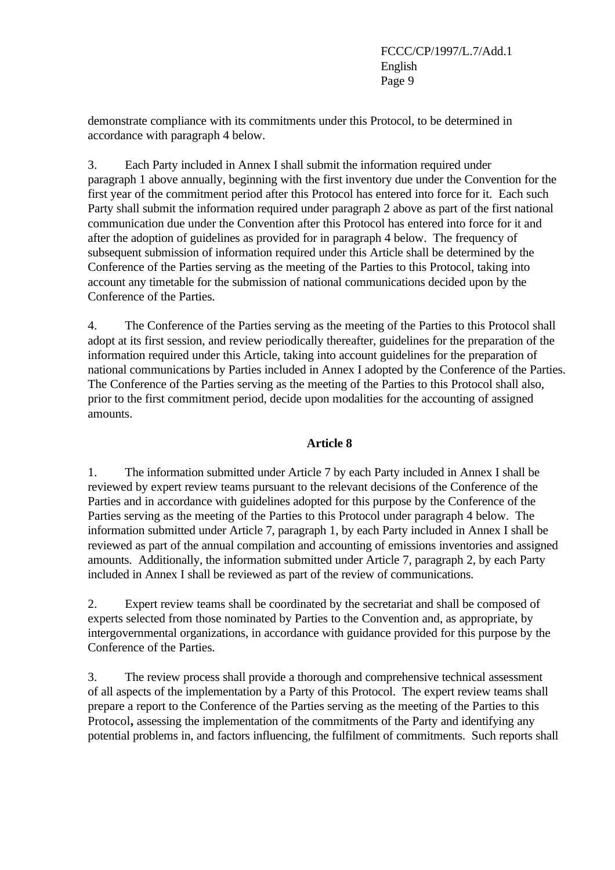demonstrate compliance with its commitments under this Protocol, to be determined in accordance with paragraph 4 below.

3. Each Party included in Annex I shall submit the information required under paragraph 1 above annually, beginning with the first inventory due under the Convention for the first year of the commitment period after this Protocol has entered into force for it. Each such Party shall submit the information required under paragraph 2 above as part of the first national communication due under the Convention after this Protocol has entered into force for it and after the adoption of guidelines as provided for in paragraph 4 below. The frequency of subsequent submission of information required under this Article shall be determined by the Conference of the Parties serving as the meeting of the Parties to this Protocol, taking into account any timetable for the submission of national communications decided upon by the Conference of the Parties.

4. The Conference of the Parties serving as the meeting of the Parties to this Protocol shall adopt at its first session, and review periodically thereafter, guidelines for the preparation of the information required under this Article, taking into account guidelines for the preparation of national communications by Parties included in Annex I adopted by the Conference of the Parties. The Conference of the Parties serving as the meeting of the Parties to this Protocol shall also, prior to the first commitment period, decide upon modalities for the accounting of assigned amounts.

## **Article 8**

1. The information submitted under Article 7 by each Party included in Annex I shall be reviewed by expert review teams pursuant to the relevant decisions of the Conference of the Parties and in accordance with guidelines adopted for this purpose by the Conference of the Parties serving as the meeting of the Parties to this Protocol under paragraph 4 below. The information submitted under Article 7, paragraph 1, by each Party included in Annex I shall be reviewed as part of the annual compilation and accounting of emissions inventories and assigned amounts. Additionally, the information submitted under Article 7, paragraph 2, by each Party included in Annex I shall be reviewed as part of the review of communications.

2. Expert review teams shall be coordinated by the secretariat and shall be composed of experts selected from those nominated by Parties to the Convention and, as appropriate, by intergovernmental organizations, in accordance with guidance provided for this purpose by the Conference of the Parties.

3. The review process shall provide a thorough and comprehensive technical assessment of all aspects of the implementation by a Party of this Protocol. The expert review teams shall prepare a report to the Conference of the Parties serving as the meeting of the Parties to this Protocol**,** assessing the implementation of the commitments of the Party and identifying any potential problems in, and factors influencing, the fulfilment of commitments. Such reports shall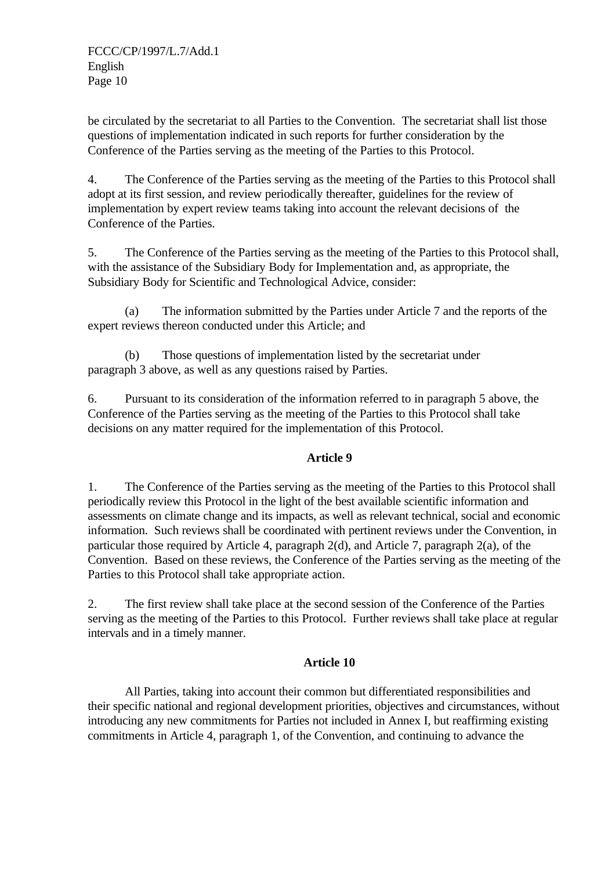be circulated by the secretariat to all Parties to the Convention. The secretariat shall list those questions of implementation indicated in such reports for further consideration by the Conference of the Parties serving as the meeting of the Parties to this Protocol.

4. The Conference of the Parties serving as the meeting of the Parties to this Protocol shall adopt at its first session, and review periodically thereafter, guidelines for the review of implementation by expert review teams taking into account the relevant decisions of the Conference of the Parties.

5. The Conference of the Parties serving as the meeting of the Parties to this Protocol shall, with the assistance of the Subsidiary Body for Implementation and, as appropriate, the Subsidiary Body for Scientific and Technological Advice, consider:

(a) The information submitted by the Parties under Article 7 and the reports of the expert reviews thereon conducted under this Article; and

(b) Those questions of implementation listed by the secretariat under paragraph 3 above, as well as any questions raised by Parties.

6. Pursuant to its consideration of the information referred to in paragraph 5 above, the Conference of the Parties serving as the meeting of the Parties to this Protocol shall take decisions on any matter required for the implementation of this Protocol.

## **Article 9**

1. The Conference of the Parties serving as the meeting of the Parties to this Protocol shall periodically review this Protocol in the light of the best available scientific information and assessments on climate change and its impacts, as well as relevant technical, social and economic information. Such reviews shall be coordinated with pertinent reviews under the Convention, in particular those required by Article 4, paragraph 2(d), and Article 7, paragraph 2(a), of the Convention. Based on these reviews, the Conference of the Parties serving as the meeting of the Parties to this Protocol shall take appropriate action.

2. The first review shall take place at the second session of the Conference of the Parties serving as the meeting of the Parties to this Protocol. Further reviews shall take place at regular intervals and in a timely manner.

# **Article 10**

All Parties, taking into account their common but differentiated responsibilities and their specific national and regional development priorities, objectives and circumstances, without introducing any new commitments for Parties not included in Annex I, but reaffirming existing commitments in Article 4, paragraph 1, of the Convention, and continuing to advance the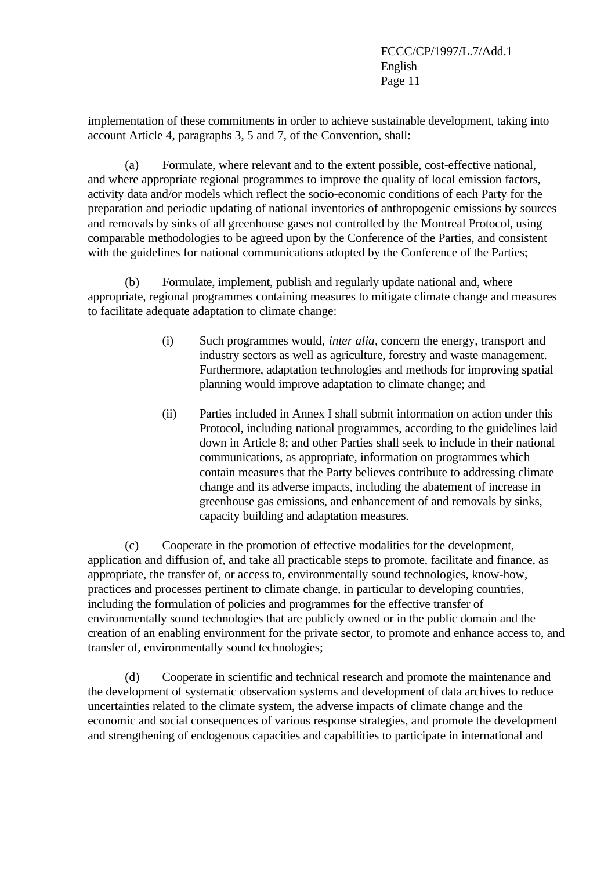implementation of these commitments in order to achieve sustainable development, taking into account Article 4, paragraphs 3, 5 and 7, of the Convention, shall:

(a) Formulate, where relevant and to the extent possible, cost-effective national, and where appropriate regional programmes to improve the quality of local emission factors, activity data and/or models which reflect the socio-economic conditions of each Party for the preparation and periodic updating of national inventories of anthropogenic emissions by sources and removals by sinks of all greenhouse gases not controlled by the Montreal Protocol, using comparable methodologies to be agreed upon by the Conference of the Parties, and consistent with the guidelines for national communications adopted by the Conference of the Parties;

(b) Formulate, implement, publish and regularly update national and, where appropriate, regional programmes containing measures to mitigate climate change and measures to facilitate adequate adaptation to climate change:

- (i) Such programmes would, *inter alia*, concern the energy, transport and industry sectors as well as agriculture, forestry and waste management. Furthermore, adaptation technologies and methods for improving spatial planning would improve adaptation to climate change; and
- (ii) Parties included in Annex I shall submit information on action under this Protocol, including national programmes, according to the guidelines laid down in Article 8; and other Parties shall seek to include in their national communications, as appropriate, information on programmes which contain measures that the Party believes contribute to addressing climate change and its adverse impacts, including the abatement of increase in greenhouse gas emissions, and enhancement of and removals by sinks, capacity building and adaptation measures.

(c) Cooperate in the promotion of effective modalities for the development, application and diffusion of, and take all practicable steps to promote, facilitate and finance, as appropriate, the transfer of, or access to, environmentally sound technologies, know-how, practices and processes pertinent to climate change, in particular to developing countries, including the formulation of policies and programmes for the effective transfer of environmentally sound technologies that are publicly owned or in the public domain and the creation of an enabling environment for the private sector, to promote and enhance access to, and transfer of, environmentally sound technologies;

(d) Cooperate in scientific and technical research and promote the maintenance and the development of systematic observation systems and development of data archives to reduce uncertainties related to the climate system, the adverse impacts of climate change and the economic and social consequences of various response strategies, and promote the development and strengthening of endogenous capacities and capabilities to participate in international and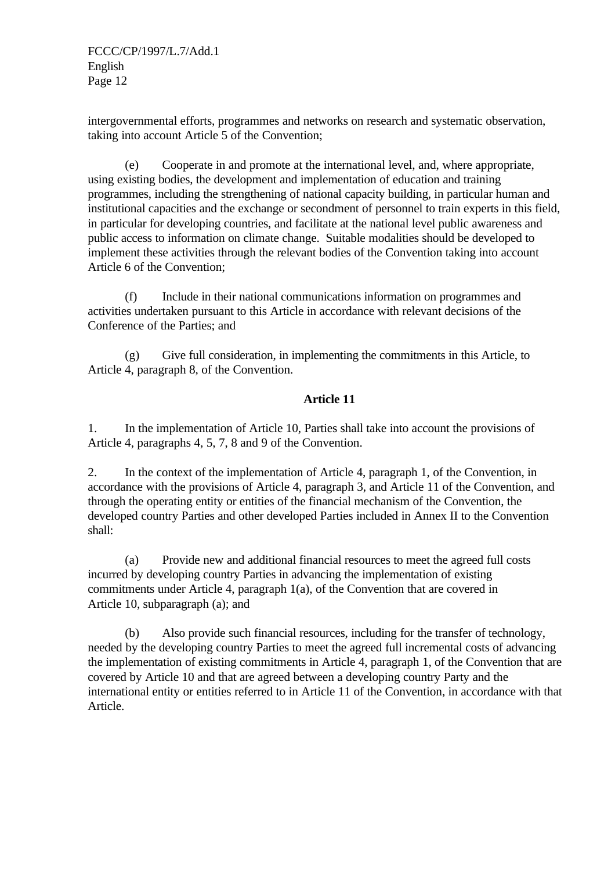intergovernmental efforts, programmes and networks on research and systematic observation, taking into account Article 5 of the Convention;

(e) Cooperate in and promote at the international level, and, where appropriate, using existing bodies, the development and implementation of education and training programmes, including the strengthening of national capacity building, in particular human and institutional capacities and the exchange or secondment of personnel to train experts in this field, in particular for developing countries, and facilitate at the national level public awareness and public access to information on climate change. Suitable modalities should be developed to implement these activities through the relevant bodies of the Convention taking into account Article 6 of the Convention;

(f) Include in their national communications information on programmes and activities undertaken pursuant to this Article in accordance with relevant decisions of the Conference of the Parties; and

(g) Give full consideration, in implementing the commitments in this Article, to Article 4, paragraph 8, of the Convention.

## **Article 11**

1. In the implementation of Article 10, Parties shall take into account the provisions of Article 4, paragraphs 4, 5, 7, 8 and 9 of the Convention.

2. In the context of the implementation of Article 4, paragraph 1, of the Convention, in accordance with the provisions of Article 4, paragraph 3, and Article 11 of the Convention, and through the operating entity or entities of the financial mechanism of the Convention, the developed country Parties and other developed Parties included in Annex II to the Convention shall:

(a) Provide new and additional financial resources to meet the agreed full costs incurred by developing country Parties in advancing the implementation of existing commitments under Article 4, paragraph 1(a), of the Convention that are covered in Article 10, subparagraph (a); and

(b) Also provide such financial resources, including for the transfer of technology, needed by the developing country Parties to meet the agreed full incremental costs of advancing the implementation of existing commitments in Article 4, paragraph 1, of the Convention that are covered by Article 10 and that are agreed between a developing country Party and the international entity or entities referred to in Article 11 of the Convention, in accordance with that Article.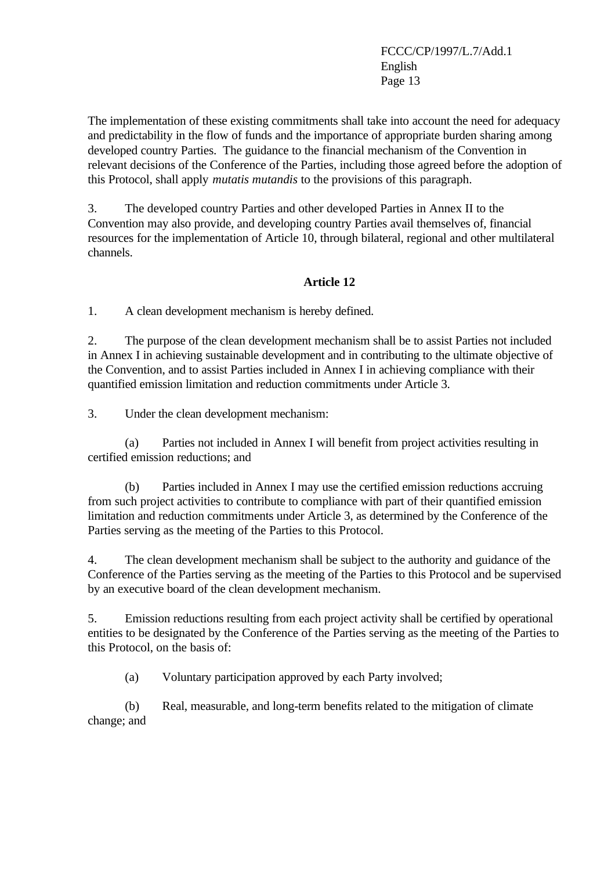The implementation of these existing commitments shall take into account the need for adequacy and predictability in the flow of funds and the importance of appropriate burden sharing among developed country Parties. The guidance to the financial mechanism of the Convention in relevant decisions of the Conference of the Parties, including those agreed before the adoption of this Protocol, shall apply *mutatis mutandis* to the provisions of this paragraph.

3. The developed country Parties and other developed Parties in Annex II to the Convention may also provide, and developing country Parties avail themselves of, financial resources for the implementation of Article 10, through bilateral, regional and other multilateral channels.

## **Article 12**

1. A clean development mechanism is hereby defined.

2. The purpose of the clean development mechanism shall be to assist Parties not included in Annex I in achieving sustainable development and in contributing to the ultimate objective of the Convention, and to assist Parties included in Annex I in achieving compliance with their quantified emission limitation and reduction commitments under Article 3.

3. Under the clean development mechanism:

(a) Parties not included in Annex I will benefit from project activities resulting in certified emission reductions; and

(b) Parties included in Annex I may use the certified emission reductions accruing from such project activities to contribute to compliance with part of their quantified emission limitation and reduction commitments under Article 3, as determined by the Conference of the Parties serving as the meeting of the Parties to this Protocol.

4. The clean development mechanism shall be subject to the authority and guidance of the Conference of the Parties serving as the meeting of the Parties to this Protocol and be supervised by an executive board of the clean development mechanism.

5. Emission reductions resulting from each project activity shall be certified by operational entities to be designated by the Conference of the Parties serving as the meeting of the Parties to this Protocol, on the basis of:

(a) Voluntary participation approved by each Party involved;

(b) Real, measurable, and long-term benefits related to the mitigation of climate change; and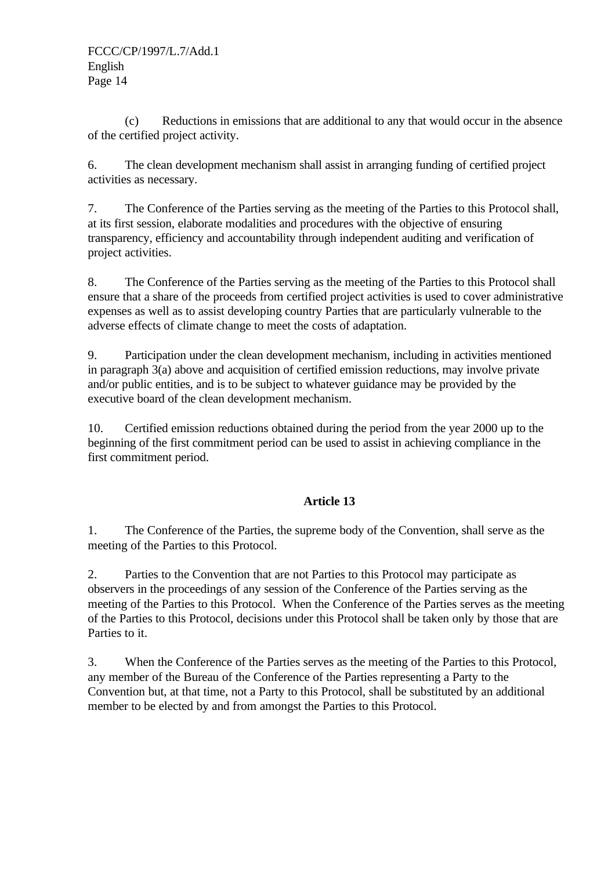(c) Reductions in emissions that are additional to any that would occur in the absence of the certified project activity.

6. The clean development mechanism shall assist in arranging funding of certified project activities as necessary.

7. The Conference of the Parties serving as the meeting of the Parties to this Protocol shall, at its first session, elaborate modalities and procedures with the objective of ensuring transparency, efficiency and accountability through independent auditing and verification of project activities.

8. The Conference of the Parties serving as the meeting of the Parties to this Protocol shall ensure that a share of the proceeds from certified project activities is used to cover administrative expenses as well as to assist developing country Parties that are particularly vulnerable to the adverse effects of climate change to meet the costs of adaptation.

9. Participation under the clean development mechanism, including in activities mentioned in paragraph 3(a) above and acquisition of certified emission reductions, may involve private and/or public entities, and is to be subject to whatever guidance may be provided by the executive board of the clean development mechanism.

10. Certified emission reductions obtained during the period from the year 2000 up to the beginning of the first commitment period can be used to assist in achieving compliance in the first commitment period.

# **Article 13**

1. The Conference of the Parties, the supreme body of the Convention, shall serve as the meeting of the Parties to this Protocol.

2. Parties to the Convention that are not Parties to this Protocol may participate as observers in the proceedings of any session of the Conference of the Parties serving as the meeting of the Parties to this Protocol. When the Conference of the Parties serves as the meeting of the Parties to this Protocol, decisions under this Protocol shall be taken only by those that are Parties to it.

3. When the Conference of the Parties serves as the meeting of the Parties to this Protocol, any member of the Bureau of the Conference of the Parties representing a Party to the Convention but, at that time, not a Party to this Protocol, shall be substituted by an additional member to be elected by and from amongst the Parties to this Protocol.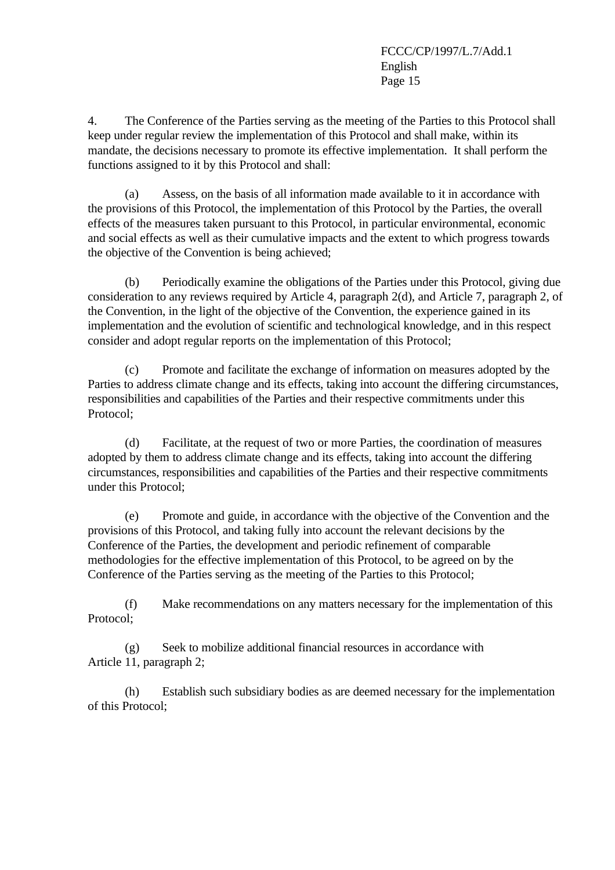4. The Conference of the Parties serving as the meeting of the Parties to this Protocol shall keep under regular review the implementation of this Protocol and shall make, within its mandate, the decisions necessary to promote its effective implementation. It shall perform the functions assigned to it by this Protocol and shall:

(a) Assess, on the basis of all information made available to it in accordance with the provisions of this Protocol, the implementation of this Protocol by the Parties, the overall effects of the measures taken pursuant to this Protocol, in particular environmental, economic and social effects as well as their cumulative impacts and the extent to which progress towards the objective of the Convention is being achieved;

(b) Periodically examine the obligations of the Parties under this Protocol, giving due consideration to any reviews required by Article 4, paragraph 2(d), and Article 7, paragraph 2, of the Convention, in the light of the objective of the Convention, the experience gained in its implementation and the evolution of scientific and technological knowledge, and in this respect consider and adopt regular reports on the implementation of this Protocol;

(c) Promote and facilitate the exchange of information on measures adopted by the Parties to address climate change and its effects, taking into account the differing circumstances, responsibilities and capabilities of the Parties and their respective commitments under this Protocol;

(d) Facilitate, at the request of two or more Parties, the coordination of measures adopted by them to address climate change and its effects, taking into account the differing circumstances, responsibilities and capabilities of the Parties and their respective commitments under this Protocol;

(e) Promote and guide, in accordance with the objective of the Convention and the provisions of this Protocol, and taking fully into account the relevant decisions by the Conference of the Parties, the development and periodic refinement of comparable methodologies for the effective implementation of this Protocol, to be agreed on by the Conference of the Parties serving as the meeting of the Parties to this Protocol;

(f) Make recommendations on any matters necessary for the implementation of this Protocol;

(g) Seek to mobilize additional financial resources in accordance with Article 11, paragraph 2;

(h) Establish such subsidiary bodies as are deemed necessary for the implementation of this Protocol;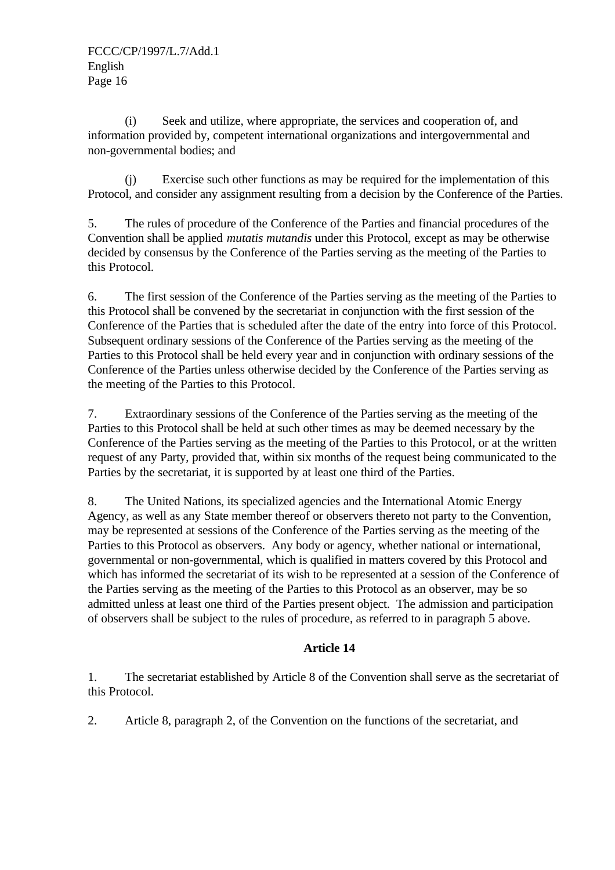(i) Seek and utilize, where appropriate, the services and cooperation of, and information provided by, competent international organizations and intergovernmental and non-governmental bodies; and

(j) Exercise such other functions as may be required for the implementation of this Protocol, and consider any assignment resulting from a decision by the Conference of the Parties.

5. The rules of procedure of the Conference of the Parties and financial procedures of the Convention shall be applied *mutatis mutandis* under this Protocol, except as may be otherwise decided by consensus by the Conference of the Parties serving as the meeting of the Parties to this Protocol.

6. The first session of the Conference of the Parties serving as the meeting of the Parties to this Protocol shall be convened by the secretariat in conjunction with the first session of the Conference of the Parties that is scheduled after the date of the entry into force of this Protocol. Subsequent ordinary sessions of the Conference of the Parties serving as the meeting of the Parties to this Protocol shall be held every year and in conjunction with ordinary sessions of the Conference of the Parties unless otherwise decided by the Conference of the Parties serving as the meeting of the Parties to this Protocol.

7. Extraordinary sessions of the Conference of the Parties serving as the meeting of the Parties to this Protocol shall be held at such other times as may be deemed necessary by the Conference of the Parties serving as the meeting of the Parties to this Protocol, or at the written request of any Party, provided that, within six months of the request being communicated to the Parties by the secretariat, it is supported by at least one third of the Parties.

8. The United Nations, its specialized agencies and the International Atomic Energy Agency, as well as any State member thereof or observers thereto not party to the Convention, may be represented at sessions of the Conference of the Parties serving as the meeting of the Parties to this Protocol as observers. Any body or agency, whether national or international, governmental or non-governmental, which is qualified in matters covered by this Protocol and which has informed the secretariat of its wish to be represented at a session of the Conference of the Parties serving as the meeting of the Parties to this Protocol as an observer, may be so admitted unless at least one third of the Parties present object. The admission and participation of observers shall be subject to the rules of procedure, as referred to in paragraph 5 above.

# **Article 14**

1. The secretariat established by Article 8 of the Convention shall serve as the secretariat of this Protocol.

2. Article 8, paragraph 2, of the Convention on the functions of the secretariat, and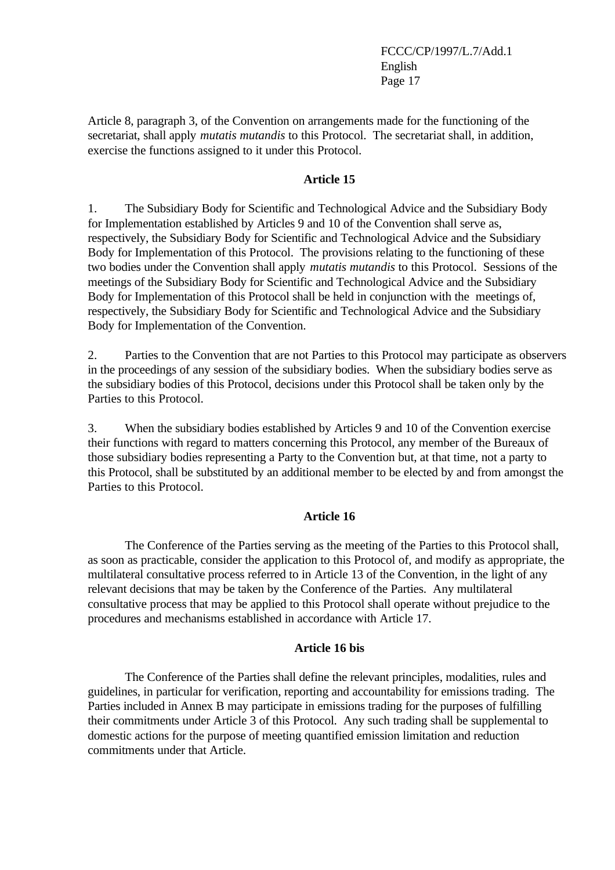Article 8, paragraph 3, of the Convention on arrangements made for the functioning of the secretariat, shall apply *mutatis mutandis* to this Protocol. The secretariat shall, in addition, exercise the functions assigned to it under this Protocol.

#### **Article 15**

1. The Subsidiary Body for Scientific and Technological Advice and the Subsidiary Body for Implementation established by Articles 9 and 10 of the Convention shall serve as, respectively, the Subsidiary Body for Scientific and Technological Advice and the Subsidiary Body for Implementation of this Protocol. The provisions relating to the functioning of these two bodies under the Convention shall apply *mutatis mutandis* to this Protocol. Sessions of the meetings of the Subsidiary Body for Scientific and Technological Advice and the Subsidiary Body for Implementation of this Protocol shall be held in conjunction with the meetings of, respectively, the Subsidiary Body for Scientific and Technological Advice and the Subsidiary Body for Implementation of the Convention.

2. Parties to the Convention that are not Parties to this Protocol may participate as observers in the proceedings of any session of the subsidiary bodies. When the subsidiary bodies serve as the subsidiary bodies of this Protocol, decisions under this Protocol shall be taken only by the Parties to this Protocol.

3. When the subsidiary bodies established by Articles 9 and 10 of the Convention exercise their functions with regard to matters concerning this Protocol, any member of the Bureaux of those subsidiary bodies representing a Party to the Convention but, at that time, not a party to this Protocol, shall be substituted by an additional member to be elected by and from amongst the Parties to this Protocol.

#### **Article 16**

The Conference of the Parties serving as the meeting of the Parties to this Protocol shall, as soon as practicable, consider the application to this Protocol of, and modify as appropriate, the multilateral consultative process referred to in Article 13 of the Convention, in the light of any relevant decisions that may be taken by the Conference of the Parties. Any multilateral consultative process that may be applied to this Protocol shall operate without prejudice to the procedures and mechanisms established in accordance with Article 17.

#### **Article 16 bis**

The Conference of the Parties shall define the relevant principles, modalities, rules and guidelines, in particular for verification, reporting and accountability for emissions trading. The Parties included in Annex B may participate in emissions trading for the purposes of fulfilling their commitments under Article 3 of this Protocol. Any such trading shall be supplemental to domestic actions for the purpose of meeting quantified emission limitation and reduction commitments under that Article.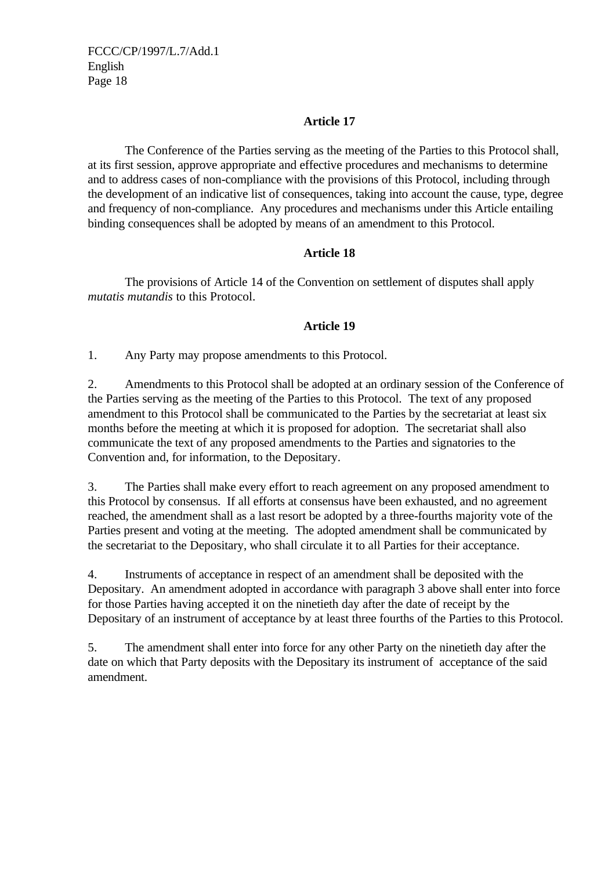## **Article 17**

The Conference of the Parties serving as the meeting of the Parties to this Protocol shall, at its first session, approve appropriate and effective procedures and mechanisms to determine and to address cases of non-compliance with the provisions of this Protocol, including through the development of an indicative list of consequences, taking into account the cause, type, degree and frequency of non-compliance. Any procedures and mechanisms under this Article entailing binding consequences shall be adopted by means of an amendment to this Protocol.

## **Article 18**

The provisions of Article 14 of the Convention on settlement of disputes shall apply *mutatis mutandis* to this Protocol.

## **Article 19**

1. Any Party may propose amendments to this Protocol.

2. Amendments to this Protocol shall be adopted at an ordinary session of the Conference of the Parties serving as the meeting of the Parties to this Protocol. The text of any proposed amendment to this Protocol shall be communicated to the Parties by the secretariat at least six months before the meeting at which it is proposed for adoption. The secretariat shall also communicate the text of any proposed amendments to the Parties and signatories to the Convention and, for information, to the Depositary.

3. The Parties shall make every effort to reach agreement on any proposed amendment to this Protocol by consensus. If all efforts at consensus have been exhausted, and no agreement reached, the amendment shall as a last resort be adopted by a three-fourths majority vote of the Parties present and voting at the meeting. The adopted amendment shall be communicated by the secretariat to the Depositary, who shall circulate it to all Parties for their acceptance.

4. Instruments of acceptance in respect of an amendment shall be deposited with the Depositary. An amendment adopted in accordance with paragraph 3 above shall enter into force for those Parties having accepted it on the ninetieth day after the date of receipt by the Depositary of an instrument of acceptance by at least three fourths of the Parties to this Protocol.

5. The amendment shall enter into force for any other Party on the ninetieth day after the date on which that Party deposits with the Depositary its instrument of acceptance of the said amendment.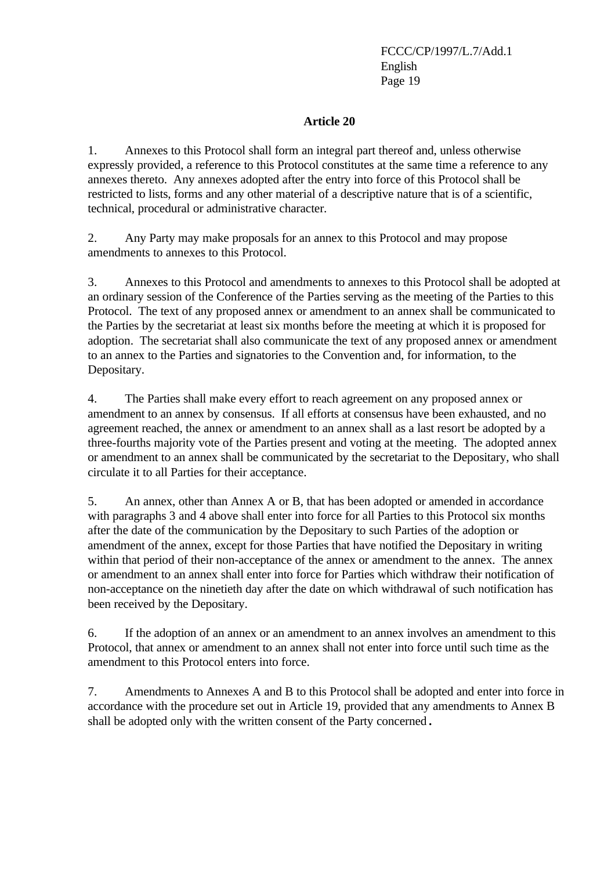## **Article 20**

1. Annexes to this Protocol shall form an integral part thereof and, unless otherwise expressly provided, a reference to this Protocol constitutes at the same time a reference to any annexes thereto. Any annexes adopted after the entry into force of this Protocol shall be restricted to lists, forms and any other material of a descriptive nature that is of a scientific, technical, procedural or administrative character.

2. Any Party may make proposals for an annex to this Protocol and may propose amendments to annexes to this Protocol.

3. Annexes to this Protocol and amendments to annexes to this Protocol shall be adopted at an ordinary session of the Conference of the Parties serving as the meeting of the Parties to this Protocol. The text of any proposed annex or amendment to an annex shall be communicated to the Parties by the secretariat at least six months before the meeting at which it is proposed for adoption. The secretariat shall also communicate the text of any proposed annex or amendment to an annex to the Parties and signatories to the Convention and, for information, to the Depositary.

4. The Parties shall make every effort to reach agreement on any proposed annex or amendment to an annex by consensus. If all efforts at consensus have been exhausted, and no agreement reached, the annex or amendment to an annex shall as a last resort be adopted by a three-fourths majority vote of the Parties present and voting at the meeting. The adopted annex or amendment to an annex shall be communicated by the secretariat to the Depositary, who shall circulate it to all Parties for their acceptance.

5. An annex, other than Annex A or B, that has been adopted or amended in accordance with paragraphs 3 and 4 above shall enter into force for all Parties to this Protocol six months after the date of the communication by the Depositary to such Parties of the adoption or amendment of the annex, except for those Parties that have notified the Depositary in writing within that period of their non-acceptance of the annex or amendment to the annex. The annex or amendment to an annex shall enter into force for Parties which withdraw their notification of non-acceptance on the ninetieth day after the date on which withdrawal of such notification has been received by the Depositary.

6. If the adoption of an annex or an amendment to an annex involves an amendment to this Protocol, that annex or amendment to an annex shall not enter into force until such time as the amendment to this Protocol enters into force.

7. Amendments to Annexes A and B to this Protocol shall be adopted and enter into force in accordance with the procedure set out in Article 19, provided that any amendments to Annex B shall be adopted only with the written consent of the Party concerned **.**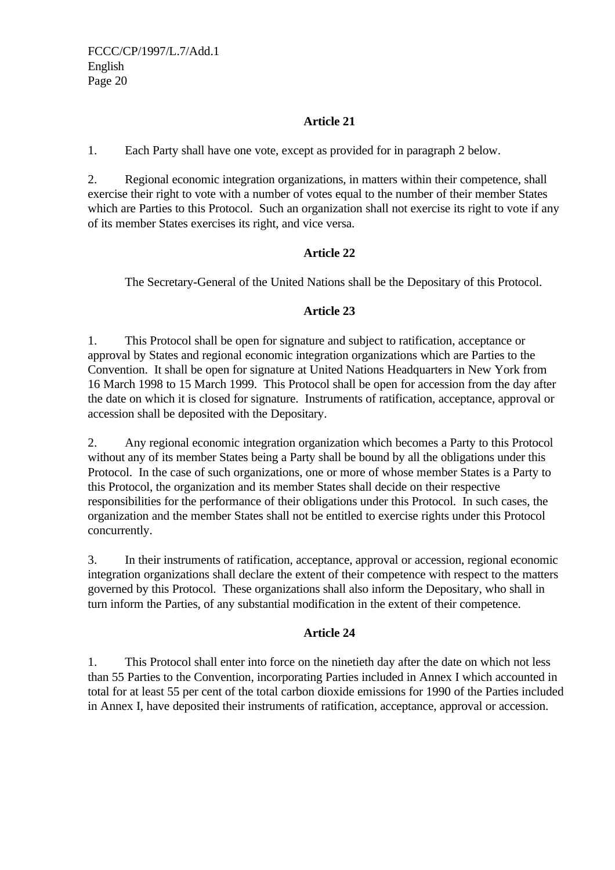## **Article 21**

1. Each Party shall have one vote, except as provided for in paragraph 2 below.

2. Regional economic integration organizations, in matters within their competence, shall exercise their right to vote with a number of votes equal to the number of their member States which are Parties to this Protocol. Such an organization shall not exercise its right to vote if any of its member States exercises its right, and vice versa.

## **Article 22**

The Secretary-General of the United Nations shall be the Depositary of this Protocol.

## **Article 23**

1. This Protocol shall be open for signature and subject to ratification, acceptance or approval by States and regional economic integration organizations which are Parties to the Convention. It shall be open for signature at United Nations Headquarters in New York from 16 March 1998 to 15 March 1999. This Protocol shall be open for accession from the day after the date on which it is closed for signature. Instruments of ratification, acceptance, approval or accession shall be deposited with the Depositary.

2. Any regional economic integration organization which becomes a Party to this Protocol without any of its member States being a Party shall be bound by all the obligations under this Protocol. In the case of such organizations, one or more of whose member States is a Party to this Protocol, the organization and its member States shall decide on their respective responsibilities for the performance of their obligations under this Protocol. In such cases, the organization and the member States shall not be entitled to exercise rights under this Protocol concurrently.

3. In their instruments of ratification, acceptance, approval or accession, regional economic integration organizations shall declare the extent of their competence with respect to the matters governed by this Protocol. These organizations shall also inform the Depositary, who shall in turn inform the Parties, of any substantial modification in the extent of their competence.

# **Article 24**

1. This Protocol shall enter into force on the ninetieth day after the date on which not less than 55 Parties to the Convention, incorporating Parties included in Annex I which accounted in total for at least 55 per cent of the total carbon dioxide emissions for 1990 of the Parties included in Annex I, have deposited their instruments of ratification, acceptance, approval or accession.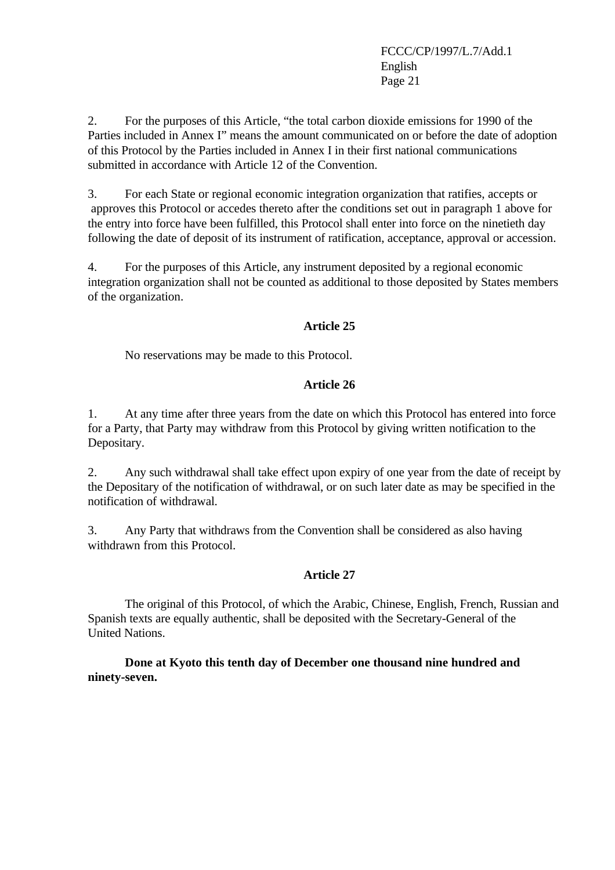2. For the purposes of this Article, "the total carbon dioxide emissions for 1990 of the Parties included in Annex I" means the amount communicated on or before the date of adoption of this Protocol by the Parties included in Annex I in their first national communications submitted in accordance with Article 12 of the Convention.

3. For each State or regional economic integration organization that ratifies, accepts or approves this Protocol or accedes thereto after the conditions set out in paragraph 1 above for the entry into force have been fulfilled, this Protocol shall enter into force on the ninetieth day following the date of deposit of its instrument of ratification, acceptance, approval or accession.

4. For the purposes of this Article, any instrument deposited by a regional economic integration organization shall not be counted as additional to those deposited by States members of the organization.

#### **Article 25**

No reservations may be made to this Protocol.

## **Article 26**

1. At any time after three years from the date on which this Protocol has entered into force for a Party, that Party may withdraw from this Protocol by giving written notification to the Depositary.

2. Any such withdrawal shall take effect upon expiry of one year from the date of receipt by the Depositary of the notification of withdrawal, or on such later date as may be specified in the notification of withdrawal.

3. Any Party that withdraws from the Convention shall be considered as also having withdrawn from this Protocol.

## **Article 27**

The original of this Protocol, of which the Arabic, Chinese, English, French, Russian and Spanish texts are equally authentic, shall be deposited with the Secretary-General of the United Nations.

**Done at Kyoto this tenth day of December one thousand nine hundred and ninety-seven.**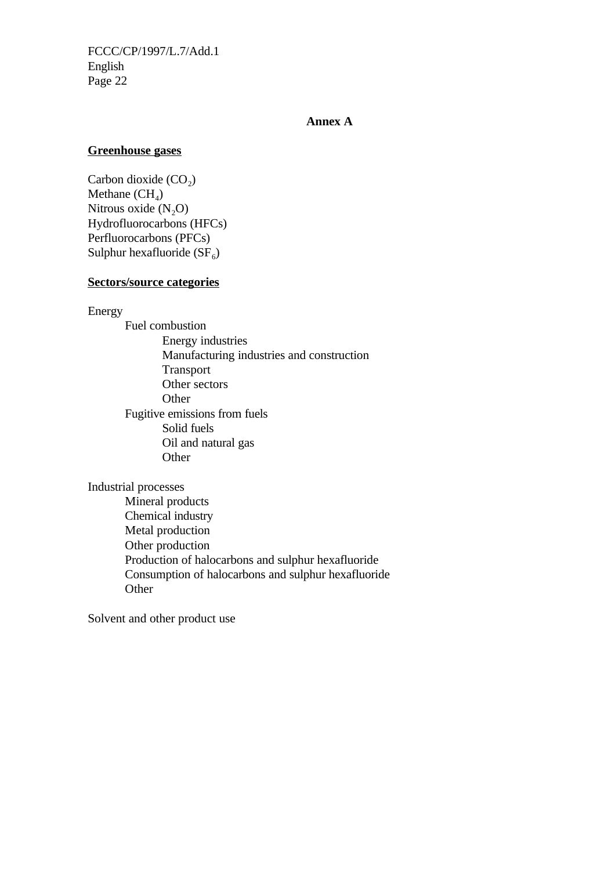## **Annex A**

#### **Greenhouse gases**

Carbon dioxide  $(CO_2)$ Methane  $(CH_4)$ Nitrous oxide  $(N, O)$ Hydrofluorocarbons (HFCs) Perfluorocarbons (PFCs) Sulphur hexafluoride  $(SF_6)$ 

#### **Sectors/source categories**

Energy

Fuel combustion Energy industries Manufacturing industries and construction Transport Other sectors **Other** Fugitive emissions from fuels Solid fuels Oil and natural gas **Other** 

Industrial processes

Mineral products Chemical industry Metal production Other production Production of halocarbons and sulphur hexafluoride Consumption of halocarbons and sulphur hexafluoride **Other** 

Solvent and other product use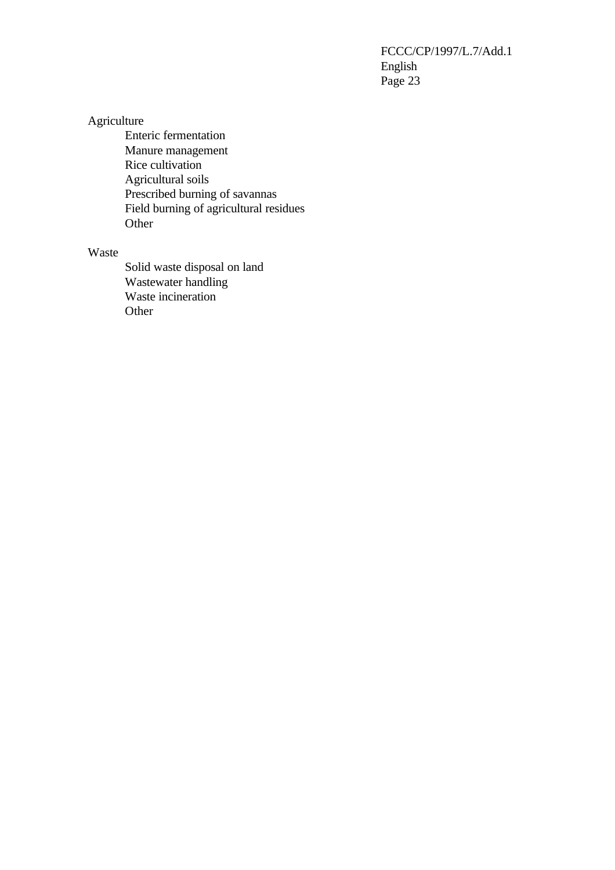# Agriculture

Enteric fermentation Manure management Rice cultivation Agricultural soils Prescribed burning of savannas Field burning of agricultural residues **Other** 

#### Waste

Solid waste disposal on land Wastewater handling Waste incineration **Other**